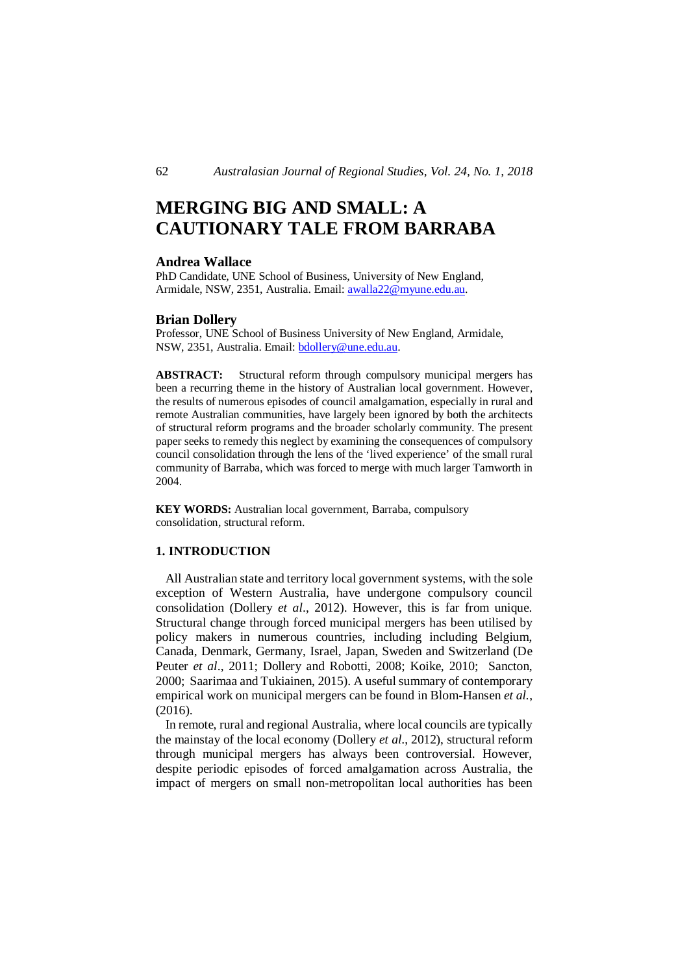# **MERGING BIG AND SMALL: A CAUTIONARY TALE FROM BARRABA**

## **Andrea Wallace**

PhD Candidate, UNE School of Business, University of New England, Armidale, NSW, 2351, Australia. Email: awalla22@myune.edu.au.

#### **Brian Dollery**

Professor, UNE School of Business University of New England, Armidale, NSW, 2351, Australia. Email: bdollery@une.edu.au.

**ABSTRACT:** Structural reform through compulsory municipal mergers has been a recurring theme in the history of Australian local government. However, the results of numerous episodes of council amalgamation, especially in rural and remote Australian communities, have largely been ignored by both the architects of structural reform programs and the broader scholarly community. The present paper seeks to remedy this neglect by examining the consequences of compulsory council consolidation through the lens of the 'lived experience' of the small rural community of Barraba, which was forced to merge with much larger Tamworth in 2004.

**KEY WORDS:** Australian local government, Barraba, compulsory consolidation, structural reform.

# **1. INTRODUCTION**

 All Australian state and territory local government systems, with the sole exception of Western Australia, have undergone compulsory council consolidation (Dollery *et al*., 2012). However, this is far from unique. Structural change through forced municipal mergers has been utilised by policy makers in numerous countries, including including Belgium, Canada, Denmark, Germany, Israel, Japan, Sweden and Switzerland (De Peuter *et al*., 2011; Dollery and Robotti, 2008; Koike, 2010; Sancton, 2000; Saarimaa and Tukiainen, 2015). A useful summary of contemporary empirical work on municipal mergers can be found in Blom-Hansen *et al.*, (2016).

 In remote, rural and regional Australia, where local councils are typically the mainstay of the local economy (Dollery *et al*., 2012), structural reform through municipal mergers has always been controversial. However, despite periodic episodes of forced amalgamation across Australia, the impact of mergers on small non-metropolitan local authorities has been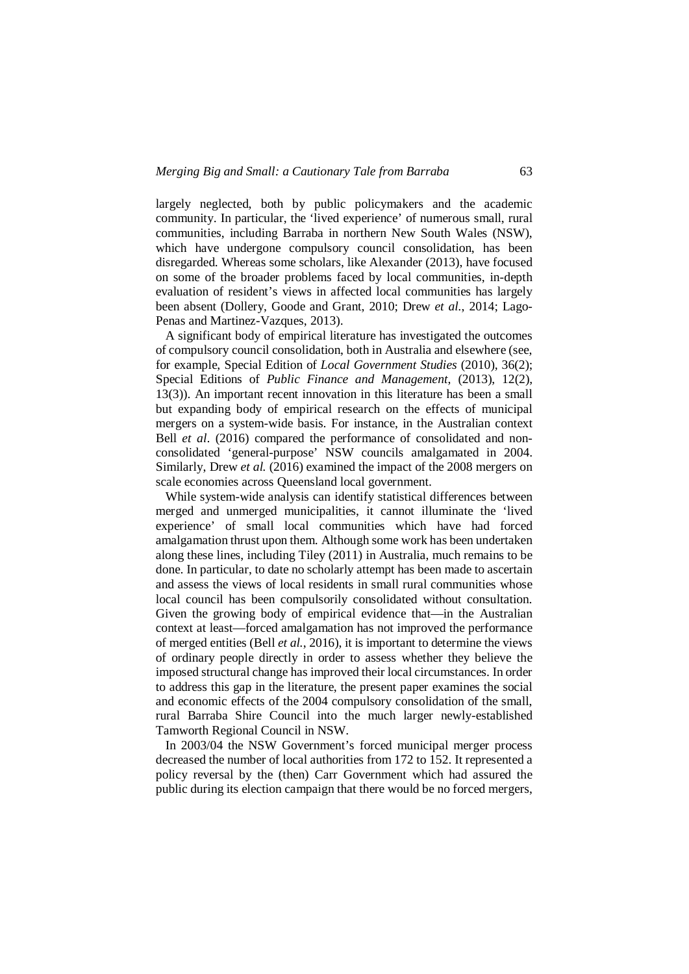largely neglected, both by public policymakers and the academic community. In particular, the 'lived experience' of numerous small, rural communities, including Barraba in northern New South Wales (NSW), which have undergone compulsory council consolidation, has been disregarded. Whereas some scholars, like Alexander (2013), have focused on some of the broader problems faced by local communities, in-depth evaluation of resident's views in affected local communities has largely been absent (Dollery, Goode and Grant, 2010; Drew *et al.*, 2014; Lago-Penas and Martinez-Vazques, 2013).

 A significant body of empirical literature has investigated the outcomes of compulsory council consolidation, both in Australia and elsewhere (see, for example, Special Edition of *Local Government Studies* (2010), 36(2); Special Editions of *Public Finance and Management*, (2013), 12(2), 13(3)). An important recent innovation in this literature has been a small but expanding body of empirical research on the effects of municipal mergers on a system-wide basis. For instance, in the Australian context Bell *et al*. (2016) compared the performance of consolidated and nonconsolidated 'general-purpose' NSW councils amalgamated in 2004. Similarly, Drew *et al.* (2016) examined the impact of the 2008 mergers on scale economies across Queensland local government.

 While system-wide analysis can identify statistical differences between merged and unmerged municipalities, it cannot illuminate the 'lived experience' of small local communities which have had forced amalgamation thrust upon them. Although some work has been undertaken along these lines, including Tiley (2011) in Australia, much remains to be done. In particular, to date no scholarly attempt has been made to ascertain and assess the views of local residents in small rural communities whose local council has been compulsorily consolidated without consultation. Given the growing body of empirical evidence that—in the Australian context at least—forced amalgamation has not improved the performance of merged entities (Bell *et al.*, 2016), it is important to determine the views of ordinary people directly in order to assess whether they believe the imposed structural change has improved their local circumstances. In order to address this gap in the literature, the present paper examines the social and economic effects of the 2004 compulsory consolidation of the small, rural Barraba Shire Council into the much larger newly-established Tamworth Regional Council in NSW.

 In 2003/04 the NSW Government's forced municipal merger process decreased the number of local authorities from 172 to 152. It represented a policy reversal by the (then) Carr Government which had assured the public during its election campaign that there would be no forced mergers,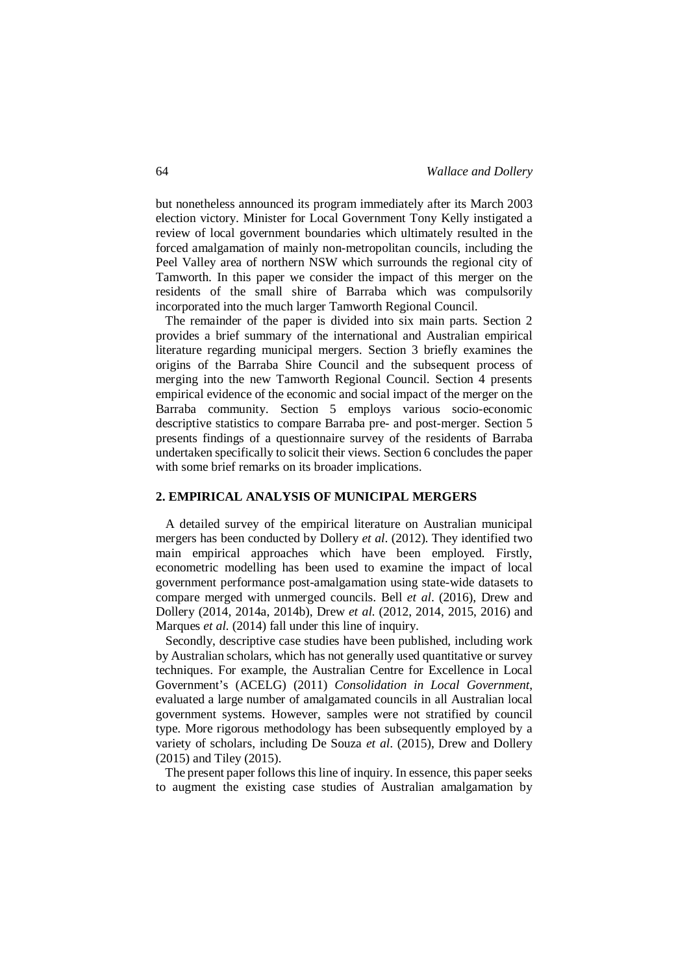but nonetheless announced its program immediately after its March 2003 election victory. Minister for Local Government Tony Kelly instigated a review of local government boundaries which ultimately resulted in the forced amalgamation of mainly non-metropolitan councils, including the Peel Valley area of northern NSW which surrounds the regional city of Tamworth. In this paper we consider the impact of this merger on the residents of the small shire of Barraba which was compulsorily incorporated into the much larger Tamworth Regional Council.

 The remainder of the paper is divided into six main parts. Section 2 provides a brief summary of the international and Australian empirical literature regarding municipal mergers. Section 3 briefly examines the origins of the Barraba Shire Council and the subsequent process of merging into the new Tamworth Regional Council. Section 4 presents empirical evidence of the economic and social impact of the merger on the Barraba community. Section 5 employs various socio-economic descriptive statistics to compare Barraba pre- and post-merger. Section 5 presents findings of a questionnaire survey of the residents of Barraba undertaken specifically to solicit their views. Section 6 concludes the paper with some brief remarks on its broader implications.

#### **2. EMPIRICAL ANALYSIS OF MUNICIPAL MERGERS**

 A detailed survey of the empirical literature on Australian municipal mergers has been conducted by Dollery *et al*. (2012). They identified two main empirical approaches which have been employed. Firstly, econometric modelling has been used to examine the impact of local government performance post-amalgamation using state-wide datasets to compare merged with unmerged councils. Bell *et al*. (2016), Drew and Dollery (2014, 2014a, 2014b), Drew *et al*. (2012, 2014, 2015, 2016) and Marques *et al*. (2014) fall under this line of inquiry.

 Secondly, descriptive case studies have been published, including work by Australian scholars, which has not generally used quantitative or survey techniques. For example, the Australian Centre for Excellence in Local Government's (ACELG) (2011) *Consolidation in Local Government*, evaluated a large number of amalgamated councils in all Australian local government systems. However, samples were not stratified by council type. More rigorous methodology has been subsequently employed by a variety of scholars, including De Souza *et al*. (2015), Drew and Dollery (2015) and Tiley (2015).

 The present paper follows this line of inquiry. In essence, this paper seeks to augment the existing case studies of Australian amalgamation by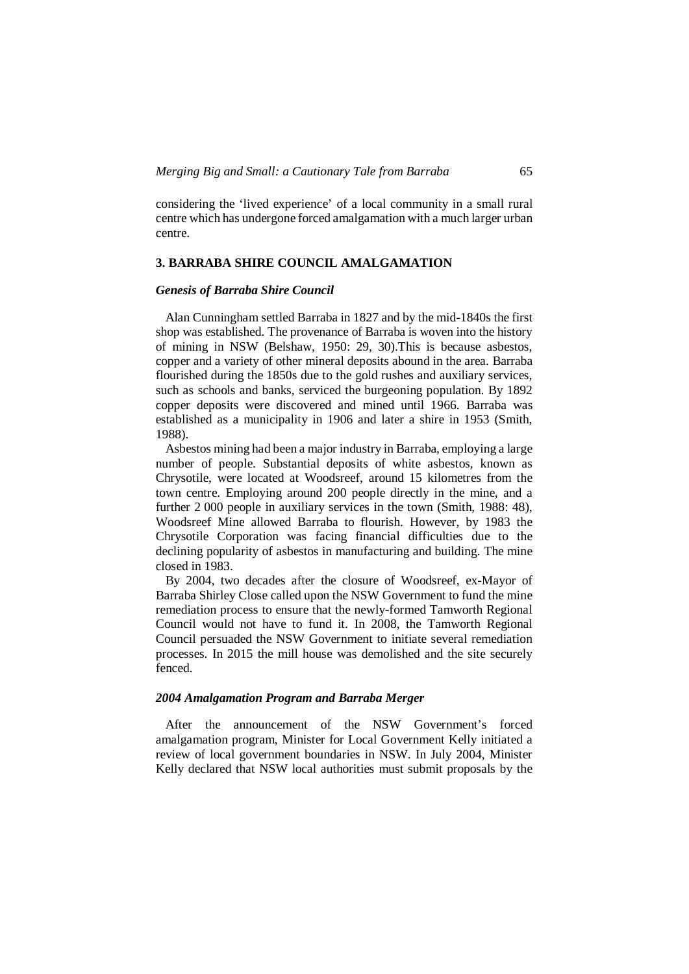considering the 'lived experience' of a local community in a small rural centre which has undergone forced amalgamation with a much larger urban centre.

# **3. BARRABA SHIRE COUNCIL AMALGAMATION**

# *Genesis of Barraba Shire Council*

 Alan Cunningham settled Barraba in 1827 and by the mid-1840s the first shop was established. The provenance of Barraba is woven into the history of mining in NSW (Belshaw, 1950: 29, 30).This is because asbestos, copper and a variety of other mineral deposits abound in the area. Barraba flourished during the 1850s due to the gold rushes and auxiliary services, such as schools and banks, serviced the burgeoning population. By 1892 copper deposits were discovered and mined until 1966. Barraba was established as a municipality in 1906 and later a shire in 1953 (Smith, 1988).

 Asbestos mining had been a major industry in Barraba, employing a large number of people. Substantial deposits of white asbestos, known as Chrysotile, were located at Woodsreef, around 15 kilometres from the town centre. Employing around 200 people directly in the mine, and a further 2 000 people in auxiliary services in the town (Smith, 1988: 48), Woodsreef Mine allowed Barraba to flourish. However, by 1983 the Chrysotile Corporation was facing financial difficulties due to the declining popularity of asbestos in manufacturing and building. The mine closed in 1983.

 By 2004, two decades after the closure of Woodsreef, ex-Mayor of Barraba Shirley Close called upon the NSW Government to fund the mine remediation process to ensure that the newly-formed Tamworth Regional Council would not have to fund it. In 2008, the Tamworth Regional Council persuaded the NSW Government to initiate several remediation processes. In 2015 the mill house was demolished and the site securely fenced.

# *2004 Amalgamation Program and Barraba Merger*

 After the announcement of the NSW Government's forced amalgamation program, Minister for Local Government Kelly initiated a review of local government boundaries in NSW. In July 2004, Minister Kelly declared that NSW local authorities must submit proposals by the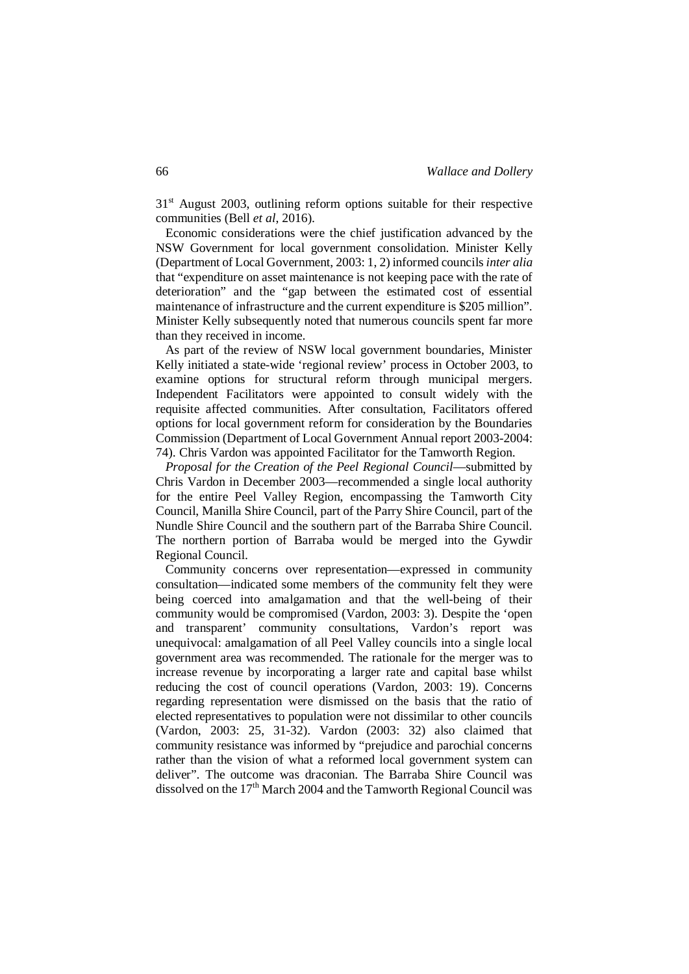$31<sup>st</sup>$  August 2003, outlining reform options suitable for their respective communities (Bell *et al*, 2016).

 Economic considerations were the chief justification advanced by the NSW Government for local government consolidation. Minister Kelly (Department of Local Government, 2003: 1, 2) informed councils *inter alia*  that "expenditure on asset maintenance is not keeping pace with the rate of deterioration" and the "gap between the estimated cost of essential maintenance of infrastructure and the current expenditure is \$205 million". Minister Kelly subsequently noted that numerous councils spent far more than they received in income.

 As part of the review of NSW local government boundaries, Minister Kelly initiated a state-wide 'regional review' process in October 2003, to examine options for structural reform through municipal mergers. Independent Facilitators were appointed to consult widely with the requisite affected communities. After consultation, Facilitators offered options for local government reform for consideration by the Boundaries Commission (Department of Local Government Annual report 2003-2004: 74). Chris Vardon was appointed Facilitator for the Tamworth Region.

 *Proposal for the Creation of the Peel Regional Council*—submitted by Chris Vardon in December 2003—recommended a single local authority for the entire Peel Valley Region, encompassing the Tamworth City Council, Manilla Shire Council, part of the Parry Shire Council, part of the Nundle Shire Council and the southern part of the Barraba Shire Council. The northern portion of Barraba would be merged into the Gywdir Regional Council.

 Community concerns over representation—expressed in community consultation—indicated some members of the community felt they were being coerced into amalgamation and that the well-being of their community would be compromised (Vardon, 2003: 3). Despite the 'open and transparent' community consultations, Vardon's report was unequivocal: amalgamation of all Peel Valley councils into a single local government area was recommended. The rationale for the merger was to increase revenue by incorporating a larger rate and capital base whilst reducing the cost of council operations (Vardon, 2003: 19). Concerns regarding representation were dismissed on the basis that the ratio of elected representatives to population were not dissimilar to other councils (Vardon, 2003: 25, 31-32). Vardon (2003: 32) also claimed that community resistance was informed by "prejudice and parochial concerns rather than the vision of what a reformed local government system can deliver". The outcome was draconian. The Barraba Shire Council was dissolved on the  $17<sup>th</sup>$  March 2004 and the Tamworth Regional Council was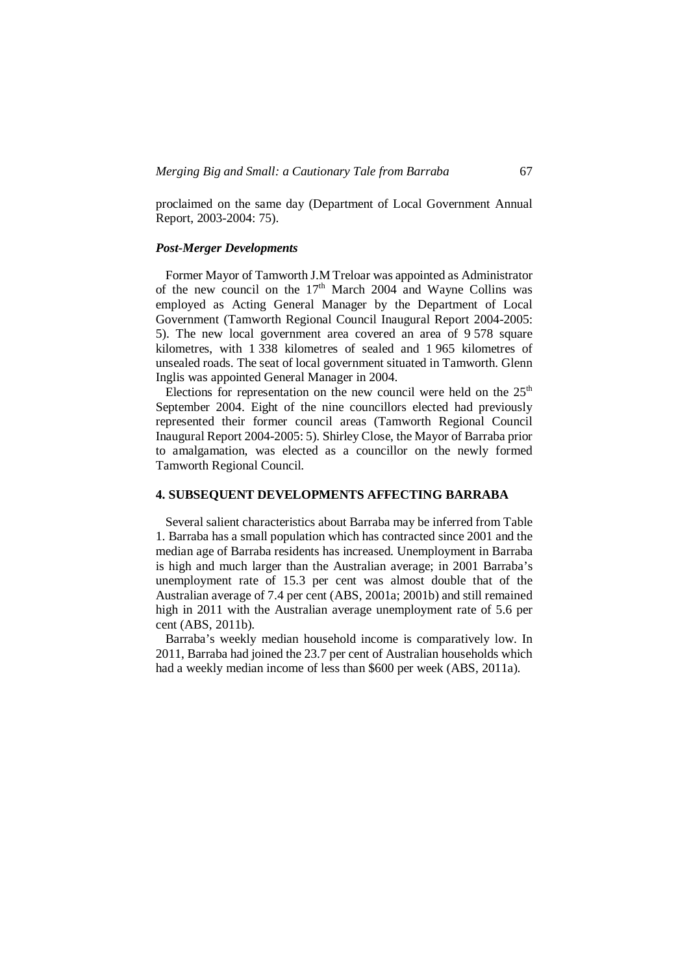proclaimed on the same day (Department of Local Government Annual Report, 2003-2004: 75).

# *Post-Merger Developments*

 Former Mayor of Tamworth J.M Treloar was appointed as Administrator of the new council on the  $17<sup>th</sup>$  March 2004 and Wayne Collins was employed as Acting General Manager by the Department of Local Government (Tamworth Regional Council Inaugural Report 2004-2005: 5). The new local government area covered an area of 9 578 square kilometres, with 1 338 kilometres of sealed and 1 965 kilometres of unsealed roads. The seat of local government situated in Tamworth. Glenn Inglis was appointed General Manager in 2004.

Elections for representation on the new council were held on the  $25<sup>th</sup>$ September 2004. Eight of the nine councillors elected had previously represented their former council areas (Tamworth Regional Council Inaugural Report 2004-2005: 5). Shirley Close, the Mayor of Barraba prior to amalgamation, was elected as a councillor on the newly formed Tamworth Regional Council.

# **4. SUBSEQUENT DEVELOPMENTS AFFECTING BARRABA**

 Several salient characteristics about Barraba may be inferred from Table 1. Barraba has a small population which has contracted since 2001 and the median age of Barraba residents has increased. Unemployment in Barraba is high and much larger than the Australian average; in 2001 Barraba's unemployment rate of 15.3 per cent was almost double that of the Australian average of 7.4 per cent (ABS, 2001a; 2001b) and still remained high in 2011 with the Australian average unemployment rate of 5.6 per cent (ABS, 2011b).

 Barraba's weekly median household income is comparatively low. In 2011, Barraba had joined the 23.7 per cent of Australian households which had a weekly median income of less than \$600 per week (ABS, 2011a).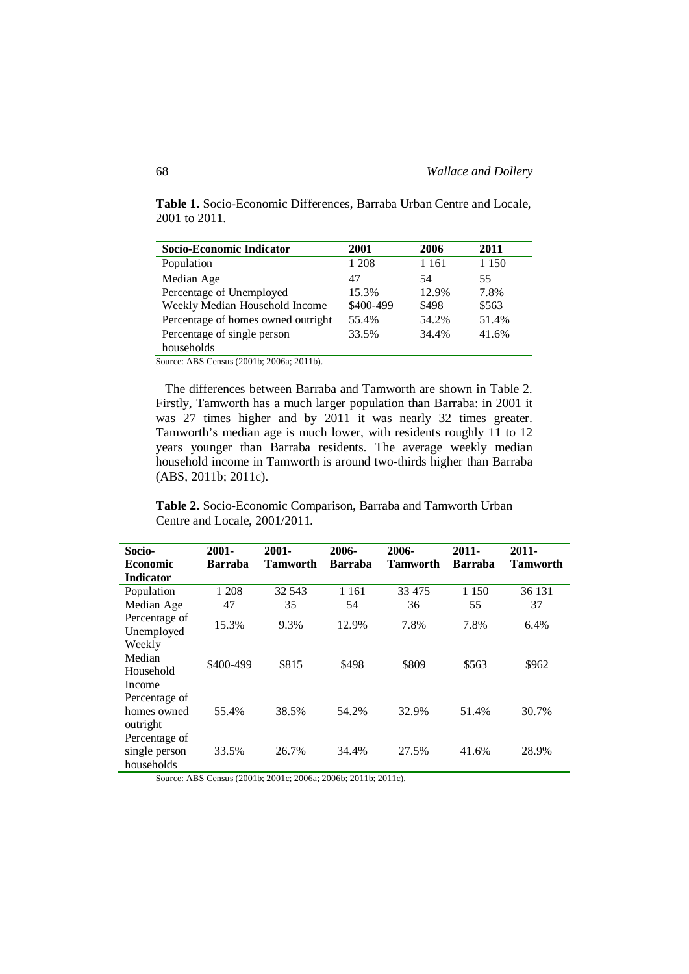**Table 1.** Socio-Economic Differences, Barraba Urban Centre and Locale, 2001 to 2011.

| Socio-Economic Indicator           | 2001      | 2006    | 2011    |
|------------------------------------|-----------|---------|---------|
| Population                         | 1 208     | 1 1 6 1 | 1 1 5 0 |
| Median Age                         | 47        | 54      | 55      |
| Percentage of Unemployed           | 15.3%     | 12.9%   | 7.8%    |
| Weekly Median Household Income     | \$400-499 | \$498   | \$563   |
| Percentage of homes owned outright | 55.4%     | 54.2%   | 51.4%   |
| Percentage of single person        | 33.5%     | 34.4%   | 41.6%   |
| households                         |           |         |         |

Source: ABS Census (2001b; 2006a; 2011b).

 The differences between Barraba and Tamworth are shown in Table 2. Firstly, Tamworth has a much larger population than Barraba: in 2001 it was 27 times higher and by 2011 it was nearly 32 times greater. Tamworth's median age is much lower, with residents roughly 11 to 12 years younger than Barraba residents. The average weekly median household income in Tamworth is around two-thirds higher than Barraba (ABS, 2011b; 2011c).

**Table 2.** Socio-Economic Comparison, Barraba and Tamworth Urban Centre and Locale, 2001/2011.

| Socio-                                       | $2001 -$       | $2001 -$        | 2006-          | 2006-           | $2011 -$       | $2011 -$        |
|----------------------------------------------|----------------|-----------------|----------------|-----------------|----------------|-----------------|
| <b>Economic</b>                              | <b>Barraba</b> | <b>Tamworth</b> | <b>Barraba</b> | <b>Tamworth</b> | <b>Barraba</b> | <b>Tamworth</b> |
| <b>Indicator</b>                             |                |                 |                |                 |                |                 |
| Population                                   | 1 208          | 32 543          | 1 1 6 1        | 33 475          | 1 1 5 0        | 36 131          |
| Median Age                                   | 47             | 35              | 54             | 36              | 55             | 37              |
| Percentage of<br>Unemployed                  | 15.3%          | 9.3%            | 12.9%          | 7.8%            | 7.8%           | 6.4%            |
| Weekly<br>Median<br>Household<br>Income      | \$400-499      | \$815           | \$498          | \$809           | \$563          | \$962           |
| Percentage of<br>homes owned<br>outright     | 55.4%          | 38.5%           | 54.2%          | 32.9%           | 51.4%          | 30.7%           |
| Percentage of<br>single person<br>households | 33.5%          | 26.7%           | 34.4%          | 27.5%           | 41.6%          | 28.9%           |

Source: ABS Census (2001b; 2001c; 2006a; 2006b; 2011b; 2011c).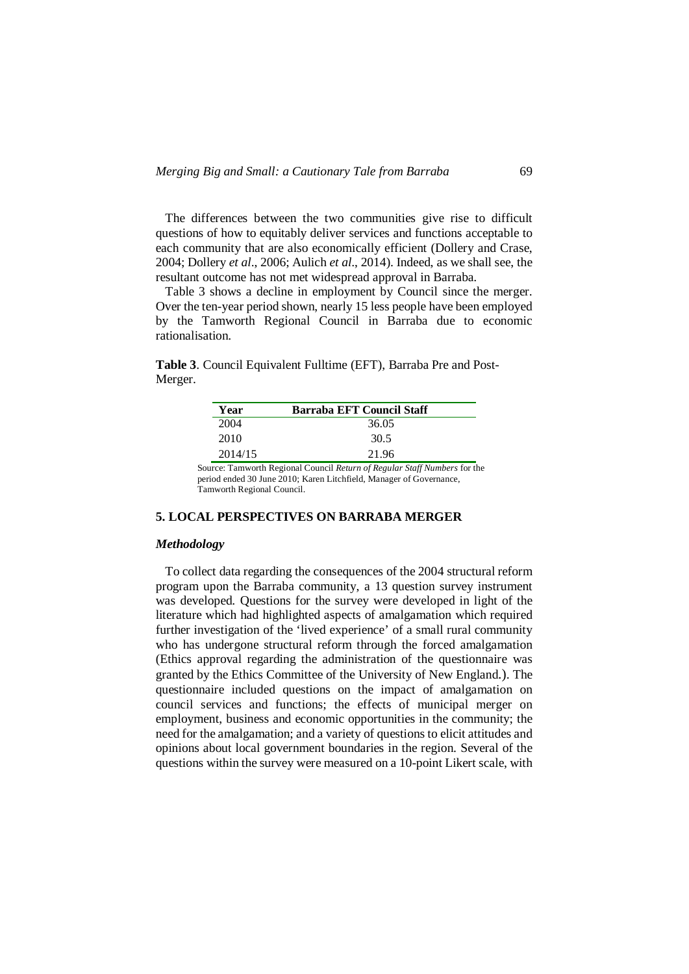The differences between the two communities give rise to difficult questions of how to equitably deliver services and functions acceptable to each community that are also economically efficient (Dollery and Crase, 2004; Dollery *et al*., 2006; Aulich *et al*., 2014). Indeed, as we shall see, the resultant outcome has not met widespread approval in Barraba.

 Table 3 shows a decline in employment by Council since the merger. Over the ten-year period shown, nearly 15 less people have been employed by the Tamworth Regional Council in Barraba due to economic rationalisation.

**Table 3**. Council Equivalent Fulltime (EFT), Barraba Pre and Post-Merger.

| Year    | Barraba EFT Council Staff |  |
|---------|---------------------------|--|
| 2004    | 36.05                     |  |
| 2010    | 30.5                      |  |
| 2014/15 | 21.96                     |  |

Source: Tamworth Regional Council *Return of Regular Staff Numbers* for the period ended 30 June 2010; Karen Litchfield, Manager of Governance, Tamworth Regional Council.

#### **5. LOCAL PERSPECTIVES ON BARRABA MERGER**

# *Methodology*

 To collect data regarding the consequences of the 2004 structural reform program upon the Barraba community, a 13 question survey instrument was developed. Questions for the survey were developed in light of the literature which had highlighted aspects of amalgamation which required further investigation of the 'lived experience' of a small rural community who has undergone structural reform through the forced amalgamation (Ethics approval regarding the administration of the questionnaire was granted by the Ethics Committee of the University of New England.). The questionnaire included questions on the impact of amalgamation on council services and functions; the effects of municipal merger on employment, business and economic opportunities in the community; the need for the amalgamation; and a variety of questions to elicit attitudes and opinions about local government boundaries in the region. Several of the questions within the survey were measured on a 10-point Likert scale, with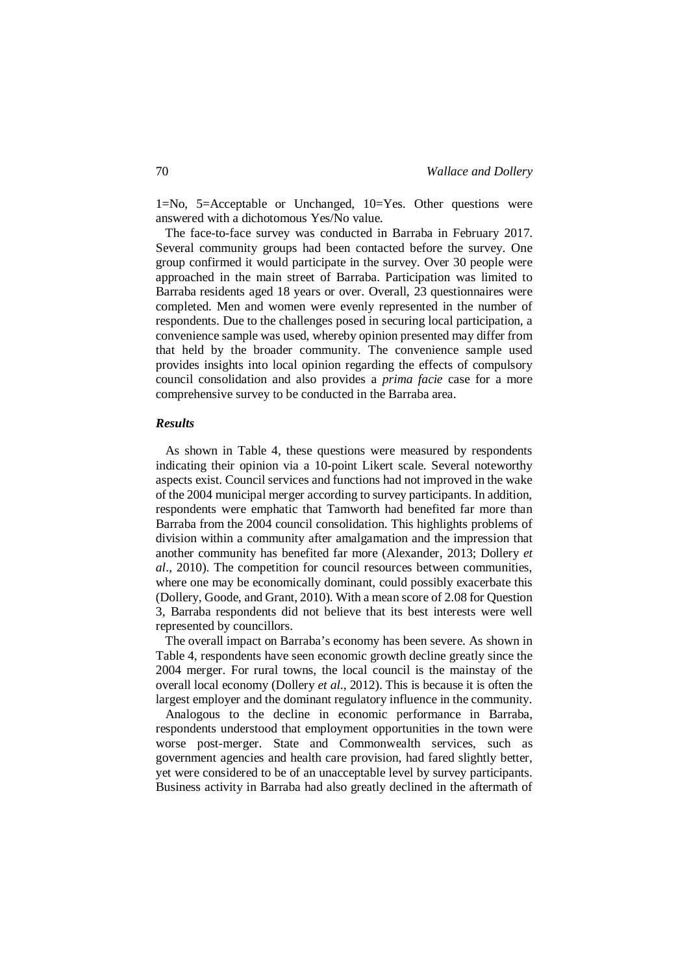1=No, 5=Acceptable or Unchanged, 10=Yes. Other questions were answered with a dichotomous Yes/No value.

 The face-to-face survey was conducted in Barraba in February 2017. Several community groups had been contacted before the survey. One group confirmed it would participate in the survey. Over 30 people were approached in the main street of Barraba. Participation was limited to Barraba residents aged 18 years or over. Overall, 23 questionnaires were completed. Men and women were evenly represented in the number of respondents. Due to the challenges posed in securing local participation, a convenience sample was used, whereby opinion presented may differ from that held by the broader community. The convenience sample used provides insights into local opinion regarding the effects of compulsory council consolidation and also provides a *prima facie* case for a more comprehensive survey to be conducted in the Barraba area.

# *Results*

 As shown in Table 4, these questions were measured by respondents indicating their opinion via a 10-point Likert scale. Several noteworthy aspects exist. Council services and functions had not improved in the wake of the 2004 municipal merger according to survey participants. In addition, respondents were emphatic that Tamworth had benefited far more than Barraba from the 2004 council consolidation. This highlights problems of division within a community after amalgamation and the impression that another community has benefited far more (Alexander, 2013; Dollery *et al*., 2010). The competition for council resources between communities, where one may be economically dominant, could possibly exacerbate this (Dollery, Goode, and Grant, 2010). With a mean score of 2.08 for Question 3, Barraba respondents did not believe that its best interests were well represented by councillors.

 The overall impact on Barraba's economy has been severe. As shown in Table 4, respondents have seen economic growth decline greatly since the 2004 merger. For rural towns, the local council is the mainstay of the overall local economy (Dollery *et al*., 2012). This is because it is often the largest employer and the dominant regulatory influence in the community.

 Analogous to the decline in economic performance in Barraba, respondents understood that employment opportunities in the town were worse post-merger. State and Commonwealth services, such as government agencies and health care provision, had fared slightly better, yet were considered to be of an unacceptable level by survey participants. Business activity in Barraba had also greatly declined in the aftermath of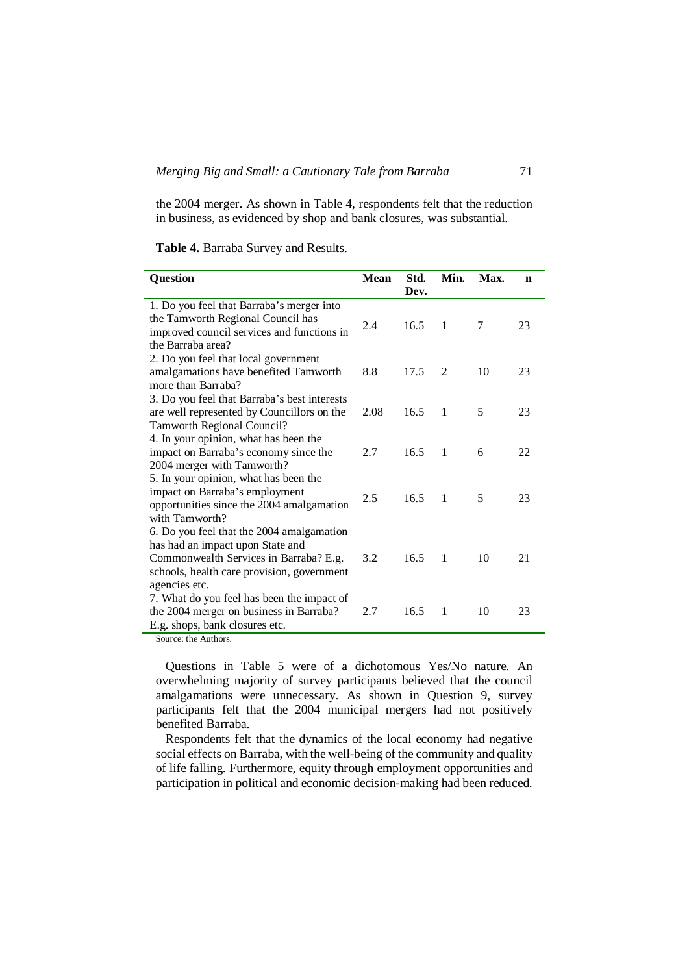the 2004 merger. As shown in Table 4, respondents felt that the reduction in business, as evidenced by shop and bank closures, was substantial.

| Question                                                                                                                                                                               | <b>Mean</b> | Std.<br>Dev. | Min.           | Max. | $\mathbf n$ |
|----------------------------------------------------------------------------------------------------------------------------------------------------------------------------------------|-------------|--------------|----------------|------|-------------|
| 1. Do you feel that Barraba's merger into<br>the Tamworth Regional Council has<br>improved council services and functions in<br>the Barraba area?                                      | 2.4         | 16.5         | $\overline{1}$ | 7    | 23          |
| 2. Do you feel that local government<br>amalgamations have benefited Tamworth<br>more than Barraba?                                                                                    | 8.8         | 17.5         | $\mathfrak{D}$ | 10   | 23          |
| 3. Do you feel that Barraba's best interests<br>are well represented by Councillors on the<br>Tamworth Regional Council?                                                               | 2.08        | 16.5         | 1              | 5    | 23          |
| 4. In your opinion, what has been the<br>impact on Barraba's economy since the<br>2004 merger with Tamworth?                                                                           | 2.7         | 16.5         | $\mathbf{1}$   | 6    | 22          |
| 5. In your opinion, what has been the<br>impact on Barraba's employment<br>opportunities since the 2004 amalgamation<br>with Tamworth?                                                 | 2.5         | 16.5         | $\overline{1}$ | 5    | 23          |
| 6. Do you feel that the 2004 amalgamation<br>has had an impact upon State and<br>Commonwealth Services in Barraba? E.g.<br>schools, health care provision, government<br>agencies etc. | 3.2         | 16.5         | $\overline{1}$ | 10   | 21          |
| 7. What do you feel has been the impact of<br>the 2004 merger on business in Barraba?<br>E.g. shops, bank closures etc.                                                                | 2.7         | 16.5         | 1              | 10   | 23          |

Source: the Authors.

 Questions in Table 5 were of a dichotomous Yes/No nature. An overwhelming majority of survey participants believed that the council amalgamations were unnecessary. As shown in Question 9, survey participants felt that the 2004 municipal mergers had not positively benefited Barraba.

 Respondents felt that the dynamics of the local economy had negative social effects on Barraba, with the well-being of the community and quality of life falling. Furthermore, equity through employment opportunities and participation in political and economic decision-making had been reduced.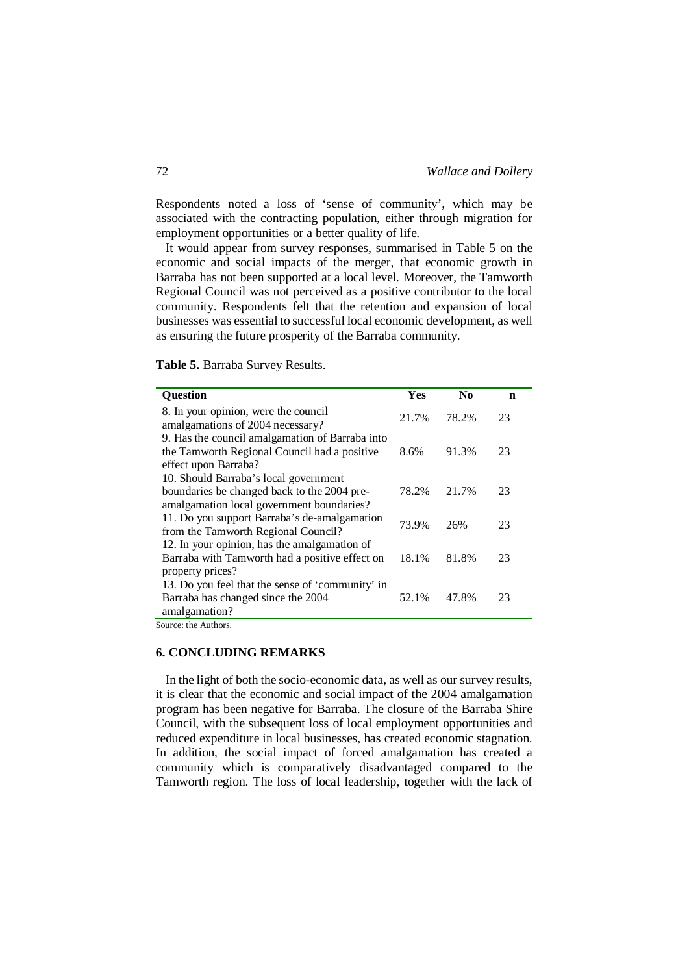Respondents noted a loss of 'sense of community', which may be associated with the contracting population, either through migration for employment opportunities or a better quality of life.

 It would appear from survey responses, summarised in Table 5 on the economic and social impacts of the merger, that economic growth in Barraba has not been supported at a local level. Moreover, the Tamworth Regional Council was not perceived as a positive contributor to the local community. Respondents felt that the retention and expansion of local businesses was essential to successful local economic development, as well as ensuring the future prosperity of the Barraba community.

**Table 5.** Barraba Survey Results.

| <b>Question</b>                                                                                                                                           | Yes   | N <sub>0</sub> | n  |
|-----------------------------------------------------------------------------------------------------------------------------------------------------------|-------|----------------|----|
| 8. In your opinion, were the council<br>amalgamations of 2004 necessary?                                                                                  | 21.7% | 78.2%          | 23 |
| 9. Has the council amalgamation of Barraba into<br>the Tamworth Regional Council had a positive<br>effect upon Barraba?                                   | 8.6%  | 91.3%          | 23 |
| 10. Should Barraba's local government<br>boundaries be changed back to the 2004 pre-<br>amalgamation local government boundaries?                         | 78.2% | 21.7%          | 23 |
| 11. Do you support Barraba's de-amalgamation<br>from the Tamworth Regional Council?                                                                       | 73.9% | 26%            | 23 |
| 12. In your opinion, has the amalgamation of<br>Barraba with Tamworth had a positive effect on<br>property prices?                                        | 18.1% | 81.8%          | 23 |
| 13. Do you feel that the sense of 'community' in<br>Barraba has changed since the 2004<br>amalgamation?<br>$\mathbf{a}$ and $\mathbf{a}$ and $\mathbf{a}$ | 52.1% | 47.8%          | 23 |

Source: the Authors.

# **6. CONCLUDING REMARKS**

 In the light of both the socio-economic data, as well as our survey results, it is clear that the economic and social impact of the 2004 amalgamation program has been negative for Barraba. The closure of the Barraba Shire Council, with the subsequent loss of local employment opportunities and reduced expenditure in local businesses, has created economic stagnation. In addition, the social impact of forced amalgamation has created a community which is comparatively disadvantaged compared to the Tamworth region. The loss of local leadership, together with the lack of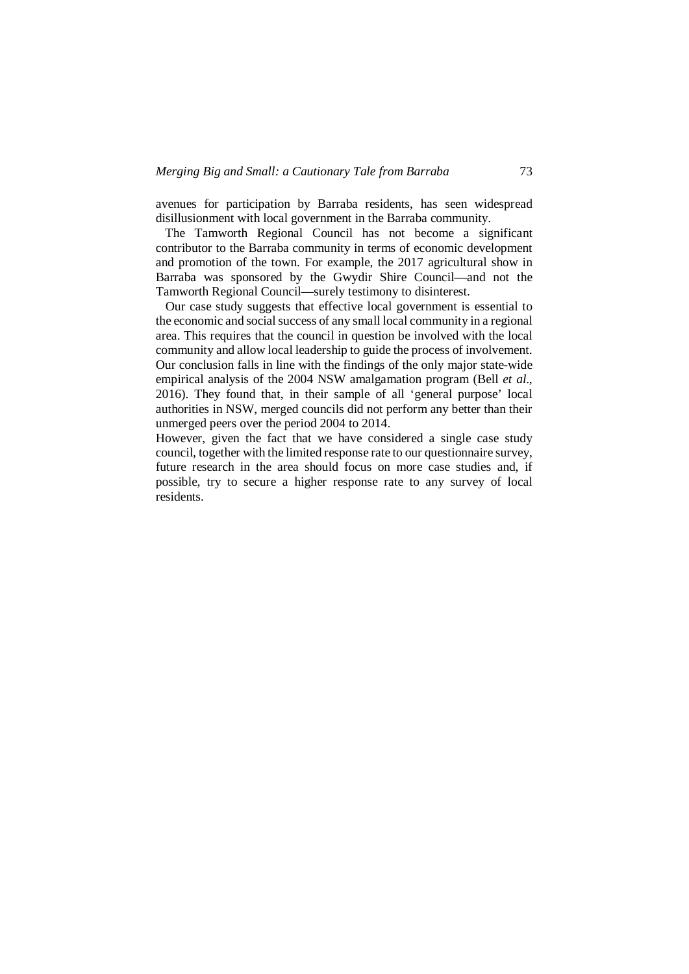avenues for participation by Barraba residents, has seen widespread disillusionment with local government in the Barraba community.

 The Tamworth Regional Council has not become a significant contributor to the Barraba community in terms of economic development and promotion of the town. For example, the 2017 agricultural show in Barraba was sponsored by the Gwydir Shire Council—and not the Tamworth Regional Council—surely testimony to disinterest.

 Our case study suggests that effective local government is essential to the economic and social success of any small local community in a regional area. This requires that the council in question be involved with the local community and allow local leadership to guide the process of involvement. Our conclusion falls in line with the findings of the only major state-wide empirical analysis of the 2004 NSW amalgamation program (Bell *et al*., 2016). They found that, in their sample of all 'general purpose' local authorities in NSW, merged councils did not perform any better than their unmerged peers over the period 2004 to 2014.

However, given the fact that we have considered a single case study council, together with the limited response rate to our questionnaire survey, future research in the area should focus on more case studies and, if possible, try to secure a higher response rate to any survey of local residents.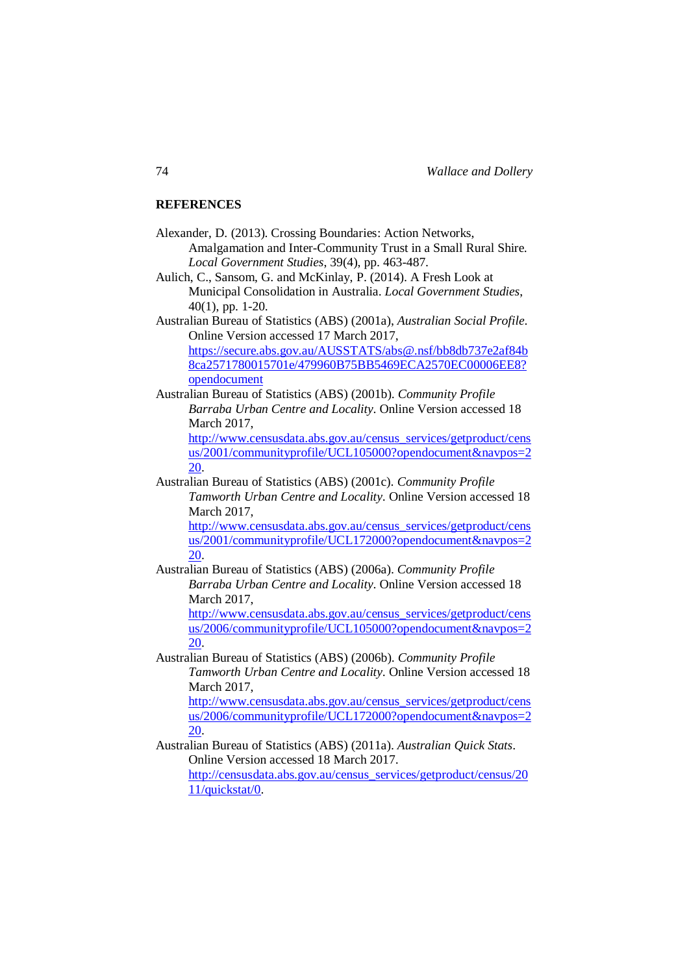#### **REFERENCES**

Alexander, D. (2013). Crossing Boundaries: Action Networks, Amalgamation and Inter-Community Trust in a Small Rural Shire. *Local Government Studies*, 39(4), pp. 463-487.

Aulich, C., Sansom, G. and McKinlay, P. (2014). A Fresh Look at Municipal Consolidation in Australia. *Local Government Studies*, 40(1), pp. 1-20.

Australian Bureau of Statistics (ABS) (2001a), *Australian Social Profile*. Online Version accessed 17 March 2017,

[https://secure.abs.gov.au/AUSSTATS/abs@.nsf/bb8db737e2af84b](https://secure.abs.gov.au/AUSSTATS/abs@.nsf/bb8db737e2af84b8ca2571780015701e/479960B75BB5469ECA2570EC00006EE8?opendocument) [8ca2571780015701e/479960B75BB5469ECA2570EC00006EE8?](https://secure.abs.gov.au/AUSSTATS/abs@.nsf/bb8db737e2af84b8ca2571780015701e/479960B75BB5469ECA2570EC00006EE8?opendocument) [opendocument](https://secure.abs.gov.au/AUSSTATS/abs@.nsf/bb8db737e2af84b8ca2571780015701e/479960B75BB5469ECA2570EC00006EE8?opendocument)

Australian Bureau of Statistics (ABS) (2001b). *Community Profile Barraba Urban Centre and Locality*. Online Version accessed 18 March 2017,

[http://www.censusdata.abs.gov.au/census\\_services/getproduct/cens](http://www.censusdata.abs.gov.au/census_services/getproduct/census/2001/communityprofile/UCL105000?opendocument&navpos=220) [us/2001/communityprofile/UCL105000?opendocument&navpos=2](http://www.censusdata.abs.gov.au/census_services/getproduct/census/2001/communityprofile/UCL105000?opendocument&navpos=220) [20.](http://www.censusdata.abs.gov.au/census_services/getproduct/census/2001/communityprofile/UCL105000?opendocument&navpos=220)

Australian Bureau of Statistics (ABS) (2001c). *Community Profile Tamworth Urban Centre and Locality*. Online Version accessed 18 March 2017,

[http://www.censusdata.abs.gov.au/census\\_services/getproduct/cens](http://www.censusdata.abs.gov.au/census_services/getproduct/census/2001/communityprofile/UCL172000?opendocument&navpos=220) [us/2001/communityprofile/UCL172000?opendocument&navpos=2](http://www.censusdata.abs.gov.au/census_services/getproduct/census/2001/communityprofile/UCL172000?opendocument&navpos=220) [20.](http://www.censusdata.abs.gov.au/census_services/getproduct/census/2001/communityprofile/UCL172000?opendocument&navpos=220)

Australian Bureau of Statistics (ABS) (2006a). *Community Profile Barraba Urban Centre and Locality*. Online Version accessed 18 March 2017,

[http://www.censusdata.abs.gov.au/census\\_services/getproduct/cens](http://www.censusdata.abs.gov.au/census_services/getproduct/census/2006/communityprofile/UCL105000?opendocument&navpos=220) [us/2006/communityprofile/UCL105000?opendocument&navpos=2](http://www.censusdata.abs.gov.au/census_services/getproduct/census/2006/communityprofile/UCL105000?opendocument&navpos=220) [20.](http://www.censusdata.abs.gov.au/census_services/getproduct/census/2006/communityprofile/UCL105000?opendocument&navpos=220)

Australian Bureau of Statistics (ABS) (2006b). *Community Profile Tamworth Urban Centre and Locality*. Online Version accessed 18 March 2017,

[http://www.censusdata.abs.gov.au/census\\_services/getproduct/cens](http://www.censusdata.abs.gov.au/census_services/getproduct/census/2006/communityprofile/UCL172000?opendocument&navpos=220) [us/2006/communityprofile/UCL172000?opendocument&navpos=2](http://www.censusdata.abs.gov.au/census_services/getproduct/census/2006/communityprofile/UCL172000?opendocument&navpos=220) [20.](http://www.censusdata.abs.gov.au/census_services/getproduct/census/2006/communityprofile/UCL172000?opendocument&navpos=220)

Australian Bureau of Statistics (ABS) (2011a). *Australian Quick Stats*. Online Version accessed 18 March 2017.

[http://censusdata.abs.gov.au/census\\_services/getproduct/census/20](http://censusdata.abs.gov.au/census_services/getproduct/census/2011/quickstat/0) [11/quickstat/0.](http://censusdata.abs.gov.au/census_services/getproduct/census/2011/quickstat/0)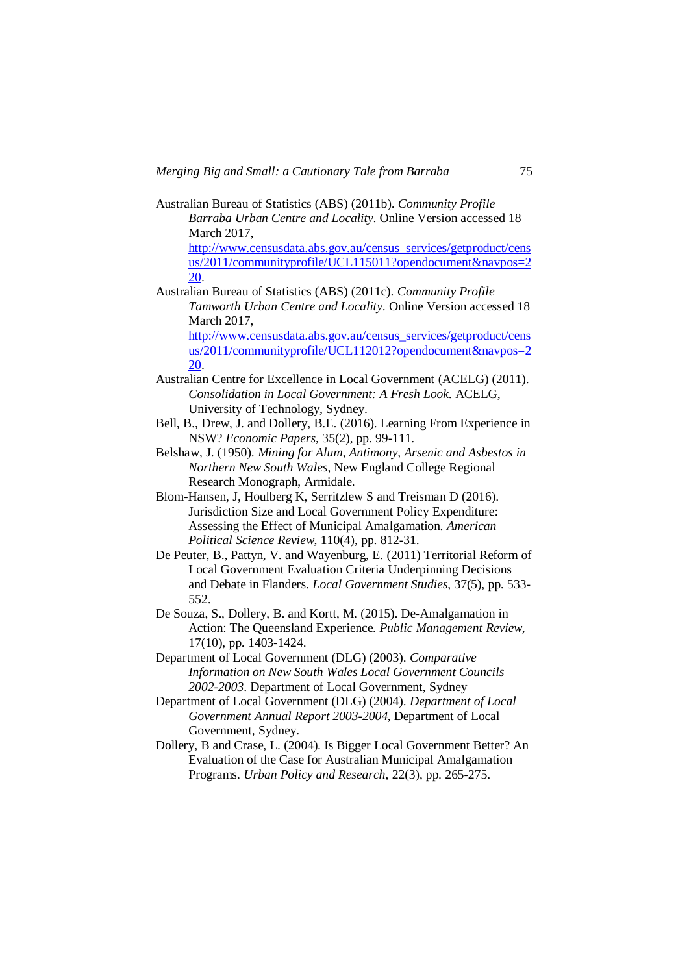Australian Bureau of Statistics (ABS) (2011b). *Community Profile Barraba Urban Centre and Locality*. Online Version accessed 18 March 2017,

[http://www.censusdata.abs.gov.au/census\\_services/getproduct/cens](http://www.censusdata.abs.gov.au/census_services/getproduct/census/2011/communityprofile/UCL115011?opendocument&navpos=220) [us/2011/communityprofile/UCL115011?opendocument&navpos=2](http://www.censusdata.abs.gov.au/census_services/getproduct/census/2011/communityprofile/UCL115011?opendocument&navpos=220) [20.](http://www.censusdata.abs.gov.au/census_services/getproduct/census/2011/communityprofile/UCL115011?opendocument&navpos=220)

Australian Bureau of Statistics (ABS) (2011c). *Community Profile Tamworth Urban Centre and Locality*. Online Version accessed 18 March 2017,

[http://www.censusdata.abs.gov.au/census\\_services/getproduct/cens](http://www.censusdata.abs.gov.au/census_services/getproduct/census/2011/communityprofile/UCL112012?opendocument&navpos=220) [us/2011/communityprofile/UCL112012?opendocument&navpos=2](http://www.censusdata.abs.gov.au/census_services/getproduct/census/2011/communityprofile/UCL112012?opendocument&navpos=220) [20.](http://www.censusdata.abs.gov.au/census_services/getproduct/census/2011/communityprofile/UCL112012?opendocument&navpos=220)

Australian Centre for Excellence in Local Government (ACELG) (2011). *Consolidation in Local Government: A Fresh Look*. ACELG, University of Technology, Sydney.

- Bell, B., Drew, J. and Dollery, B.E. (2016). Learning From Experience in NSW? *Economic Papers*, 35(2), pp. 99-111.
- Belshaw, J. (1950). *Mining for Alum, Antimony, Arsenic and Asbestos in Northern New South Wales*, New England College Regional Research Monograph, Armidale.
- Blom-Hansen, J, Houlberg K, Serritzlew S and Treisman D (2016). Jurisdiction Size and Local Government Policy Expenditure: Assessing the Effect of Municipal Amalgamation. *American Political Science Review*, 110(4), pp. 812-31.

De Peuter, B., Pattyn, V. and Wayenburg, E. (2011) Territorial Reform of Local Government Evaluation Criteria Underpinning Decisions and Debate in Flanders. *Local Government Studies*, 37(5), pp. 533- 552.

De Souza, S., Dollery, B. and Kortt, M. (2015). De-Amalgamation in Action: The Queensland Experience. *Public Management Review*, 17(10), pp. 1403-1424.

Department of Local Government (DLG) (2003). *Comparative Information on New South Wales Local Government Councils 2002-2003*. Department of Local Government, Sydney

Department of Local Government (DLG) (2004). *Department of Local Government Annual Report 2003-2004*, Department of Local Government, Sydney.

Dollery, B and Crase, L. (2004). Is Bigger Local Government Better? An Evaluation of the Case for Australian Municipal Amalgamation Programs. *Urban Policy and Research*, 22(3), pp. 265-275.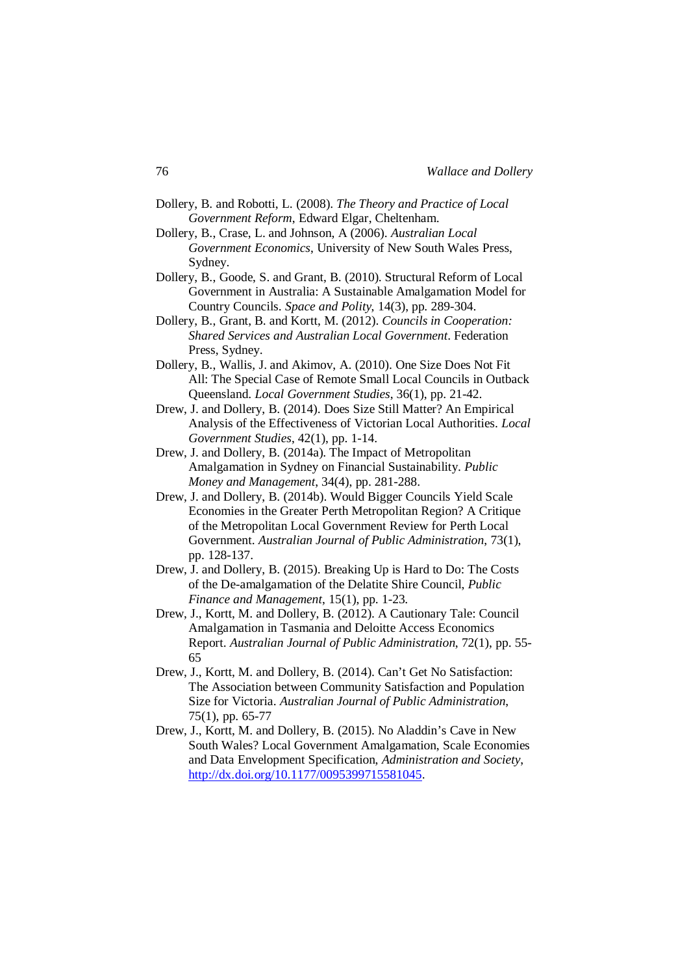- Dollery, B. and Robotti, L. (2008). *The Theory and Practice of Local Government Reform*, Edward Elgar, Cheltenham.
- Dollery, B., Crase, L. and Johnson, A (2006). *Australian Local Government Economics*, University of New South Wales Press, Sydney.
- Dollery, B., Goode, S. and Grant, B. (2010). Structural Reform of Local Government in Australia: A Sustainable Amalgamation Model for Country Councils. *Space and Polity*, 14(3), pp. 289-304.
- Dollery, B., Grant, B. and Kortt, M. (2012). *Councils in Cooperation: Shared Services and Australian Local Government*. Federation Press, Sydney.
- Dollery, B., Wallis, J. and Akimov, A. (2010). One Size Does Not Fit All: The Special Case of Remote Small Local Councils in Outback Queensland. *Local Government Studies*, 36(1), pp. 21-42.
- Drew, J. and Dollery, B. (2014). Does Size Still Matter? An Empirical Analysis of the Effectiveness of Victorian Local Authorities. *Local Government Studies*, 42(1), pp. 1-14.
- Drew, J. and Dollery, B. (2014a). The Impact of Metropolitan Amalgamation in Sydney on Financial Sustainability. *Public Money and Management*, 34(4), pp. 281-288.
- Drew, J. and Dollery, B. (2014b). Would Bigger Councils Yield Scale Economies in the Greater Perth Metropolitan Region? A Critique of the Metropolitan Local Government Review for Perth Local Government. *Australian Journal of Public Administration*, 73(1), pp. 128-137.
- Drew, J. and Dollery, B. (2015). Breaking Up is Hard to Do: The Costs of the De-amalgamation of the Delatite Shire Council, *Public Finance and Management*, 15(1), pp. 1-23.
- Drew, J., Kortt, M. and Dollery, B. (2012). A Cautionary Tale: Council Amalgamation in Tasmania and Deloitte Access Economics Report. *Australian Journal of Public Administration*, 72(1), pp. 55- 65
- Drew, J., Kortt, M. and Dollery, B. (2014). Can't Get No Satisfaction: The Association between Community Satisfaction and Population Size for Victoria. *Australian Journal of Public Administration*, 75(1), pp. 65-77
- Drew, J., Kortt, M. and Dollery, B. (2015). No Aladdin's Cave in New South Wales? Local Government Amalgamation, Scale Economies and Data Envelopment Specification, *Administration and Society*, <http://dx.doi.org/10.1177/0095399715581045>.